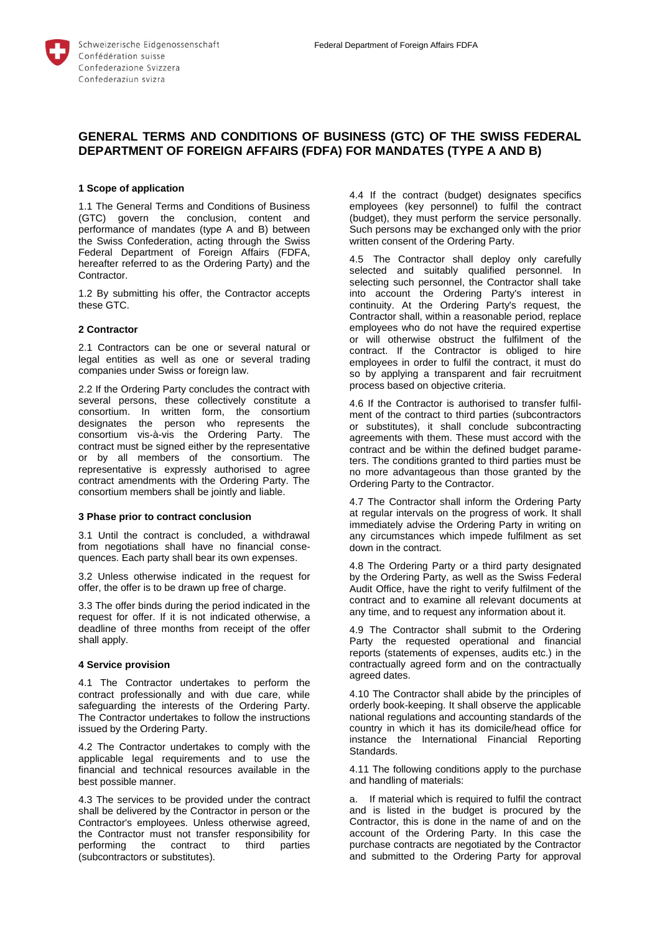

# **GENERAL TERMS AND CONDITIONS OF BUSINESS (GTC) OF THE SWISS FEDERAL DEPARTMENT OF FOREIGN AFFAIRS (FDFA) FOR MANDATES (TYPE A AND B)**

### **1 Scope of application**

1.1 The General Terms and Conditions of Business (GTC) govern the conclusion, content and performance of mandates (type A and B) between the Swiss Confederation, acting through the Swiss Federal Department of Foreign Affairs (FDFA, hereafter referred to as the Ordering Party) and the Contractor.

1.2 By submitting his offer, the Contractor accepts these GTC.

#### **2 Contractor**

2.1 Contractors can be one or several natural or legal entities as well as one or several trading companies under Swiss or foreign law.

2.2 If the Ordering Party concludes the contract with several persons, these collectively constitute a consortium. In written form, the consortium designates the person who represents the consortium vis-à-vis the Ordering Party. The contract must be signed either by the representative or by all members of the consortium. The representative is expressly authorised to agree contract amendments with the Ordering Party. The consortium members shall be jointly and liable.

#### **3 Phase prior to contract conclusion**

3.1 Until the contract is concluded, a withdrawal from negotiations shall have no financial consequences. Each party shall bear its own expenses.

3.2 Unless otherwise indicated in the request for offer, the offer is to be drawn up free of charge.

3.3 The offer binds during the period indicated in the request for offer. If it is not indicated otherwise, a deadline of three months from receipt of the offer shall apply.

#### **4 Service provision**

4.1 The Contractor undertakes to perform the contract professionally and with due care, while safeguarding the interests of the Ordering Party. The Contractor undertakes to follow the instructions issued by the Ordering Party.

4.2 The Contractor undertakes to comply with the applicable legal requirements and to use the financial and technical resources available in the best possible manner.

4.3 The services to be provided under the contract shall be delivered by the Contractor in person or the Contractor's employees. Unless otherwise agreed, the Contractor must not transfer responsibility for performing the contract to third parties (subcontractors or substitutes).

4.4 If the contract (budget) designates specifics employees (key personnel) to fulfil the contract (budget), they must perform the service personally. Such persons may be exchanged only with the prior written consent of the Ordering Party.

4.5 The Contractor shall deploy only carefully selected and suitably qualified personnel. In selecting such personnel, the Contractor shall take into account the Ordering Party's interest in continuity. At the Ordering Party's request, the Contractor shall, within a reasonable period, replace employees who do not have the required expertise or will otherwise obstruct the fulfilment of the contract. If the Contractor is obliged to hire employees in order to fulfil the contract, it must do so by applying a transparent and fair recruitment process based on objective criteria.

4.6 If the Contractor is authorised to transfer fulfilment of the contract to third parties (subcontractors or substitutes), it shall conclude subcontracting agreements with them. These must accord with the contract and be within the defined budget parameters. The conditions granted to third parties must be no more advantageous than those granted by the Ordering Party to the Contractor.

4.7 The Contractor shall inform the Ordering Party at regular intervals on the progress of work. It shall immediately advise the Ordering Party in writing on any circumstances which impede fulfilment as set down in the contract.

4.8 The Ordering Party or a third party designated by the Ordering Party, as well as the Swiss Federal Audit Office, have the right to verify fulfilment of the contract and to examine all relevant documents at any time, and to request any information about it.

4.9 The Contractor shall submit to the Ordering Party the requested operational and financial reports (statements of expenses, audits etc.) in the contractually agreed form and on the contractually agreed dates.

4.10 The Contractor shall abide by the principles of orderly book-keeping. It shall observe the applicable national regulations and accounting standards of the country in which it has its domicile/head office for instance the International Financial Reporting Standards.

4.11 The following conditions apply to the purchase and handling of materials:

a. If material which is required to fulfil the contract and is listed in the budget is procured by the Contractor, this is done in the name of and on the account of the Ordering Party. In this case the purchase contracts are negotiated by the Contractor and submitted to the Ordering Party for approval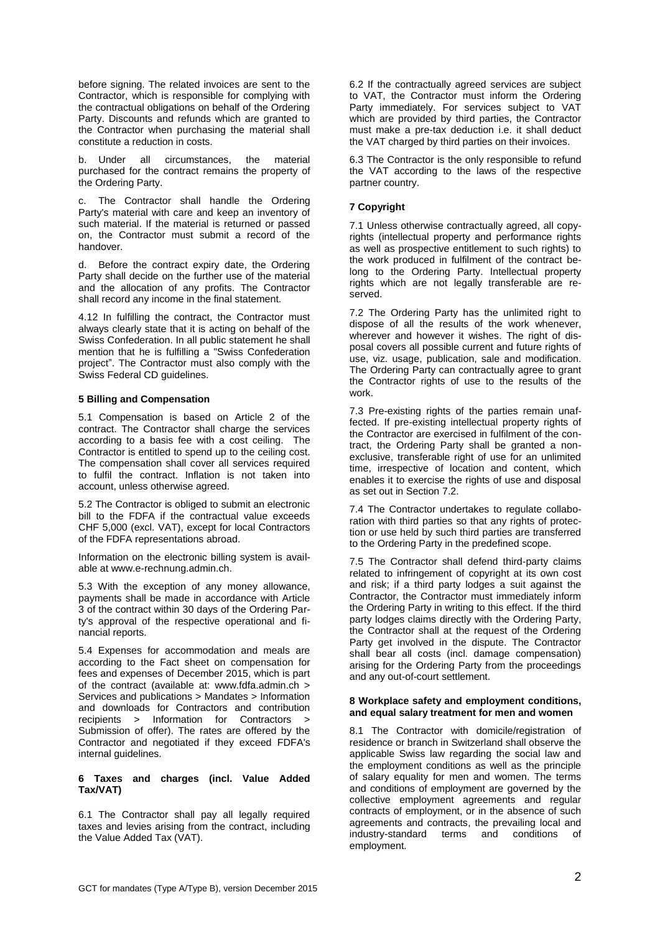before signing. The related invoices are sent to the Contractor, which is responsible for complying with the contractual obligations on behalf of the Ordering Party. Discounts and refunds which are granted to the Contractor when purchasing the material shall constitute a reduction in costs.

b. Under all circumstances, the material purchased for the contract remains the property of the Ordering Party.

c. The Contractor shall handle the Ordering Party's material with care and keep an inventory of such material. If the material is returned or passed on, the Contractor must submit a record of the handover.

d. Before the contract expiry date, the Ordering Party shall decide on the further use of the material and the allocation of any profits. The Contractor shall record any income in the final statement.

4.12 In fulfilling the contract, the Contractor must always clearly state that it is acting on behalf of the Swiss Confederation. In all public statement he shall mention that he is fulfilling a "Swiss Confederation project". The Contractor must also comply with the Swiss Federal CD guidelines.

## **5 Billing and Compensation**

5.1 Compensation is based on Article 2 of the contract. The Contractor shall charge the services according to a basis fee with a cost ceiling. The Contractor is entitled to spend up to the ceiling cost. The compensation shall cover all services required to fulfil the contract. Inflation is not taken into account, unless otherwise agreed.

5.2 The Contractor is obliged to submit an electronic bill to the FDFA if the contractual value exceeds CHF 5,000 (excl. VAT), except for local Contractors of the FDFA representations abroad.

Information on the electronic billing system is available at www.e-rechnung.admin.ch.

5.3 With the exception of any money allowance, payments shall be made in accordance with Article 3 of the contract within 30 days of the Ordering Party's approval of the respective operational and financial reports.

5.4 Expenses for accommodation and meals are according to the Fact sheet on compensation for fees and expenses of December 2015, which is part of the contract (available at: www.fdfa.admin.ch > Services and publications > Mandates > Information and downloads for Contractors and contribution recipients > Information for Contractors > Submission of offer). The rates are offered by the Contractor and negotiated if they exceed FDFA's internal guidelines.

### **6 Taxes and charges (incl. Value Added Tax/VAT)**

6.1 The Contractor shall pay all legally required taxes and levies arising from the contract, including the Value Added Tax (VAT).

6.2 If the contractually agreed services are subject to VAT, the Contractor must inform the Ordering Party immediately. For services subject to VAT which are provided by third parties, the Contractor must make a pre-tax deduction i.e. it shall deduct the VAT charged by third parties on their invoices.

6.3 The Contractor is the only responsible to refund the VAT according to the laws of the respective partner country.

#### **7 Copyright**

7.1 Unless otherwise contractually agreed, all copyrights (intellectual property and performance rights as well as prospective entitlement to such rights) to the work produced in fulfilment of the contract belong to the Ordering Party. Intellectual property rights which are not legally transferable are reserved.

7.2 The Ordering Party has the unlimited right to dispose of all the results of the work whenever, wherever and however it wishes. The right of disposal covers all possible current and future rights of use, viz. usage, publication, sale and modification. The Ordering Party can contractually agree to grant the Contractor rights of use to the results of the work.

7.3 Pre-existing rights of the parties remain unaffected. If pre-existing intellectual property rights of the Contractor are exercised in fulfilment of the contract, the Ordering Party shall be granted a nonexclusive, transferable right of use for an unlimited time, irrespective of location and content, which enables it to exercise the rights of use and disposal as set out in Section 7.2.

7.4 The Contractor undertakes to regulate collaboration with third parties so that any rights of protection or use held by such third parties are transferred to the Ordering Party in the predefined scope.

7.5 The Contractor shall defend third-party claims related to infringement of copyright at its own cost and risk; if a third party lodges a suit against the Contractor, the Contractor must immediately inform the Ordering Party in writing to this effect. If the third party lodges claims directly with the Ordering Party, the Contractor shall at the request of the Ordering Party get involved in the dispute. The Contractor shall bear all costs (incl. damage compensation) arising for the Ordering Party from the proceedings and any out-of-court settlement.

### **8 Workplace safety and employment conditions, and equal salary treatment for men and women**

8.1 The Contractor with domicile/registration of residence or branch in Switzerland shall observe the applicable Swiss law regarding the social law and the employment conditions as well as the principle of salary equality for men and women. The terms and conditions of employment are governed by the collective employment agreements and regular contracts of employment, or in the absence of such agreements and contracts, the prevailing local and<br>industry-standard terms and conditions of industry-standard terms and conditions employment.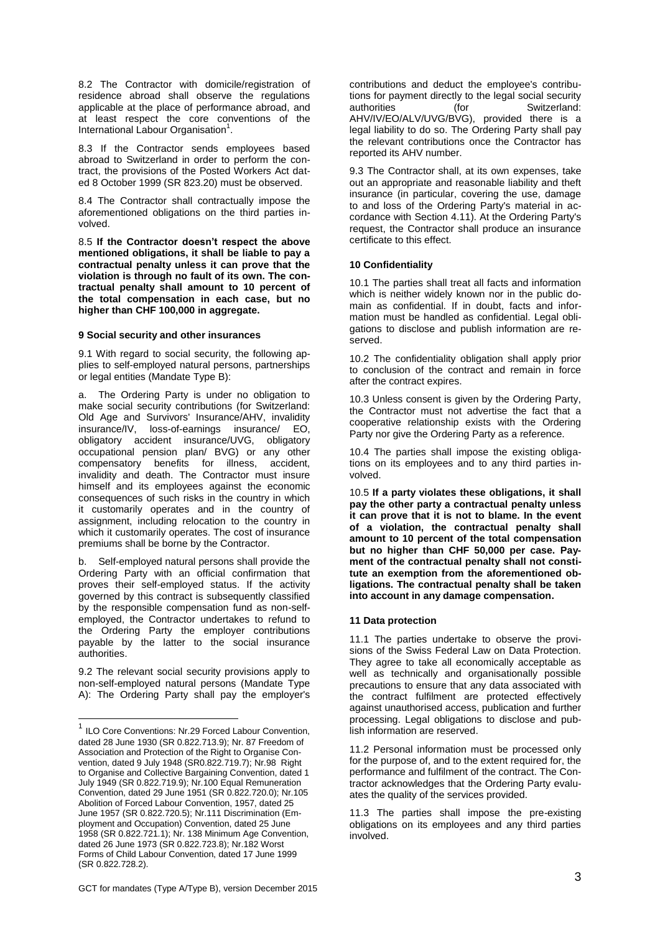8.2 The Contractor with domicile/registration of residence abroad shall observe the regulations applicable at the place of performance abroad, and at least respect the core conventions of the International Labour Organisation<sup>1</sup>.

8.3 If the Contractor sends employees based abroad to Switzerland in order to perform the contract, the provisions of the Posted Workers Act dated 8 October 1999 (SR 823.20) must be observed.

8.4 The Contractor shall contractually impose the aforementioned obligations on the third parties involved.

8.5 **If the Contractor doesn't respect the above mentioned obligations, it shall be liable to pay a contractual penalty unless it can prove that the violation is through no fault of its own. The contractual penalty shall amount to 10 percent of the total compensation in each case, but no higher than CHF 100,000 in aggregate.**

### **9 Social security and other insurances**

9.1 With regard to social security, the following applies to self-employed natural persons, partnerships or legal entities (Mandate Type B):

a. The Ordering Party is under no obligation to make social security contributions (for Switzerland: Old Age and Survivors' Insurance/AHV, invalidity insurance/IV, loss-of-earnings insurance/ EO, insurance/ EO, obligatory accident insurance/UVG, obligatory occupational pension plan/ BVG) or any other compensatory benefits for illness, accident, invalidity and death. The Contractor must insure himself and its employees against the economic consequences of such risks in the country in which it customarily operates and in the country of assignment, including relocation to the country in which it customarily operates. The cost of insurance premiums shall be borne by the Contractor.

b. Self-employed natural persons shall provide the Ordering Party with an official confirmation that proves their self-employed status. If the activity governed by this contract is subsequently classified by the responsible compensation fund as non-selfemployed, the Contractor undertakes to refund to the Ordering Party the employer contributions payable by the latter to the social insurance authorities.

9.2 The relevant social security provisions apply to non-self-employed natural persons (Mandate Type A): The Ordering Party shall pay the employer's contributions and deduct the employee's contributions for payment directly to the legal social security authorities (for Switzerland: AHV/IV/EO/ALV/UVG/BVG), provided there is a legal liability to do so. The Ordering Party shall pay the relevant contributions once the Contractor has reported its AHV number.

9.3 The Contractor shall, at its own expenses, take out an appropriate and reasonable liability and theft insurance (in particular, covering the use, damage to and loss of the Ordering Party's material in accordance with Section 4.11). At the Ordering Party's request, the Contractor shall produce an insurance certificate to this effect.

# **10 Confidentiality**

10.1 The parties shall treat all facts and information which is neither widely known nor in the public domain as confidential. If in doubt, facts and information must be handled as confidential. Legal obligations to disclose and publish information are reserved.

10.2 The confidentiality obligation shall apply prior to conclusion of the contract and remain in force after the contract expires.

10.3 Unless consent is given by the Ordering Party, the Contractor must not advertise the fact that a cooperative relationship exists with the Ordering Party nor give the Ordering Party as a reference.

10.4 The parties shall impose the existing obligations on its employees and to any third parties involved.

10.5 **If a party violates these obligations, it shall pay the other party a contractual penalty unless it can prove that it is not to blame. In the event of a violation, the contractual penalty shall amount to 10 percent of the total compensation but no higher than CHF 50,000 per case. Payment of the contractual penalty shall not constitute an exemption from the aforementioned obligations. The contractual penalty shall be taken into account in any damage compensation.**

### **11 Data protection**

11.1 The parties undertake to observe the provisions of the Swiss Federal Law on Data Protection. They agree to take all economically acceptable as well as technically and organisationally possible precautions to ensure that any data associated with the contract fulfilment are protected effectively against unauthorised access, publication and further processing. Legal obligations to disclose and publish information are reserved.

11.2 Personal information must be processed only for the purpose of, and to the extent required for, the performance and fulfilment of the contract. The Contractor acknowledges that the Ordering Party evaluates the quality of the services provided.

11.3 The parties shall impose the pre-existing obligations on its employees and any third parties involved.

<sup>————————————————————&</sup>lt;br><sup>1</sup> ILO Core Conventions: Nr.29 Forced Labour Convention, dated 28 June 1930 (SR 0.822.713.9); Nr. 87 Freedom of Association and Protection of the Right to Organise Convention, dated 9 July 1948 (SR0.822.719.7); Nr.98 Right to Organise and Collective Bargaining Convention, dated 1 July 1949 (SR 0.822.719.9); Nr.100 Equal Remuneration Convention, dated 29 June 1951 (SR 0.822.720.0); Nr.105 Abolition of Forced Labour Convention, 1957, dated 25 June 1957 (SR 0.822.720.5); Nr.111 Discrimination (Employment and Occupation) Convention, dated 25 June 1958 (SR 0.822.721.1); Nr. 138 Minimum Age Convention, dated 26 June 1973 (SR 0.822.723.8); Nr.182 Worst Forms of Child Labour Convention, dated 17 June 1999 (SR 0.822.728.2).